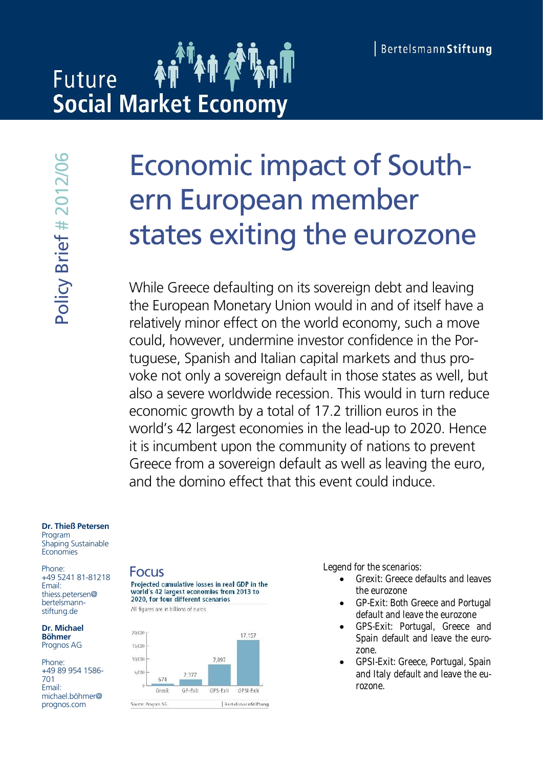# **Future Social Market Economy**

# Economic impact of Southern European member states exiting the eurozone

While Greece defaulting on its sovereign debt and leaving the European Monetary Union would in and of itself have a relatively minor effect on the world economy, such a move could, however, undermine investor confidence in the Portuguese, Spanish and Italian capital markets and thus provoke not only a sovereign default in those states as well, but also a severe worldwide recession. This would in turn reduce economic growth by a total of 17.2 trillion euros in the world's 42 largest economies in the lead-up to 2020. Hence it is incumbent upon the community of nations to prevent Greece from a sovereign default as well as leaving the euro, and the domino effect that this event could induce.

#### **Dr. Thieß Petersen**

Program Shaping Sustainable **Economies** 

Phone: +49 5241 81-81218 Email: thiess.petersen@ bertelsmannstiftung.de

**Dr. Michael Böhmer** Prognos AG

Phone: +49 89 954 1586- 701 Email: michael.böhmer@<br>prognos.com







- Grexit: Greece defaults and leaves the eurozone
- GP-Exit: Both Greece and Portugal default and leave the eurozone
- GPS-Exit: Portugal, Greece and Spain default and leave the eurozone.
- GPSI-Exit: Greece, Portugal, Spain and Italy default and leave the eurozone.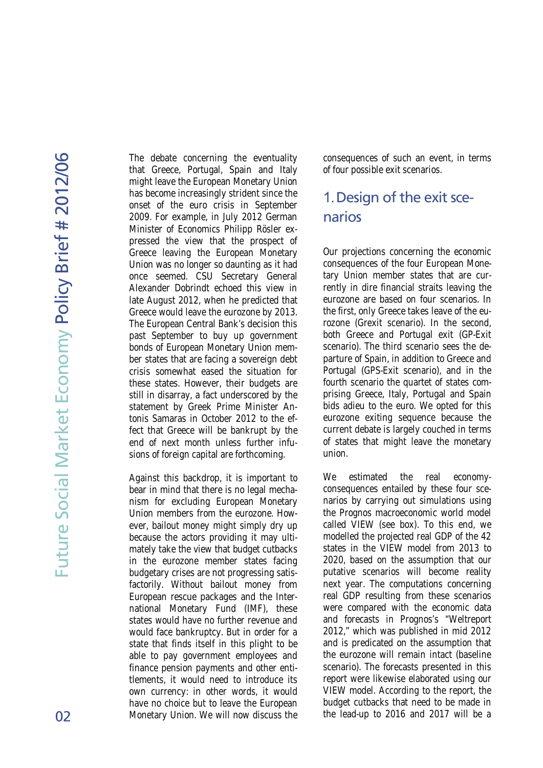6

The debate concerning the eventuality that Greece, Portugal, Spain and Italy might leave the European Monetary Union has become increasingly strident since the onset of the euro crisis in September 2009. For example, in July 2012 German Minister of Economics Philipp Rösler expressed the view that the prospect of Greece leaving the European Monetary Union was no longer so daunting as it had once seemed. CSU Secretary General Alexander Dobrindt echoed this view in late August 2012, when he predicted that Greece would leave the eurozone by 2013. The European Central Bank's decision this past September to buy up government bonds of European Monetary Union member states that are facing a sovereign debt crisis somewhat eased the situation for these states. However, their budgets are still in disarray, a fact underscored by the statement by Greek Prime Minister Antonis Samaras in October 2012 to the effect that Greece will be bankrupt by the end of next month unless further infusions of foreign capital are forthcoming.

Against this backdrop, it is important to bear in mind that there is no legal mechanism for excluding European Monetary Union members from the eurozone. However, bailout money might simply dry up because the actors providing it may ultimately take the view that budget cutbacks in the eurozone member states facing budgetary crises are not progressing satisfactorily. Without bailout money from European rescue packages and the International Monetary Fund (IMF), these states would have no further revenue and would face bankruptcy. But in order for a state that finds itself in this plight to be able to pay government employees and finance pension payments and other entitlements, it would need to introduce its own currency: in other words, it would have no choice but to leave the European Monetary Union. We will now discuss the

consequences of such an event, in terms of four possible exit scenarios.

## 1.Design of the exit scenarios

Our projections concerning the economic consequences of the four European Monetary Union member states that are currently in dire financial straits leaving the eurozone are based on four scenarios. In the first, only Greece takes leave of the eurozone (Grexit scenario). In the second, both Greece and Portugal exit (GP-Exit scenario). The third scenario sees the departure of Spain, in addition to Greece and Portugal (GPS-Exit scenario), and in the fourth scenario the quartet of states comprising Greece, Italy, Portugal and Spain bids adieu to the euro. We opted for this eurozone exiting sequence because the current debate is largely couched in terms of states that might leave the monetary union.

We estimated the real economyconsequences entailed by these four scenarios by carrying out simulations using the Prognos macroeconomic world model called VIEW (see box). To this end, we modelled the projected real GDP of the 42 states in the VIEW model from 2013 to 2020, based on the assumption that our putative scenarios will become reality next year. The computations concerning real GDP resulting from these scenarios were compared with the economic data and forecasts in Prognos's "Weltreport 2012," which was published in mid 2012 and is predicated on the assumption that the eurozone will remain intact (baseline scenario). The forecasts presented in this report were likewise elaborated using our VIEW model. According to the report, the budget cutbacks that need to be made in the lead-up to 2016 and 2017 will be a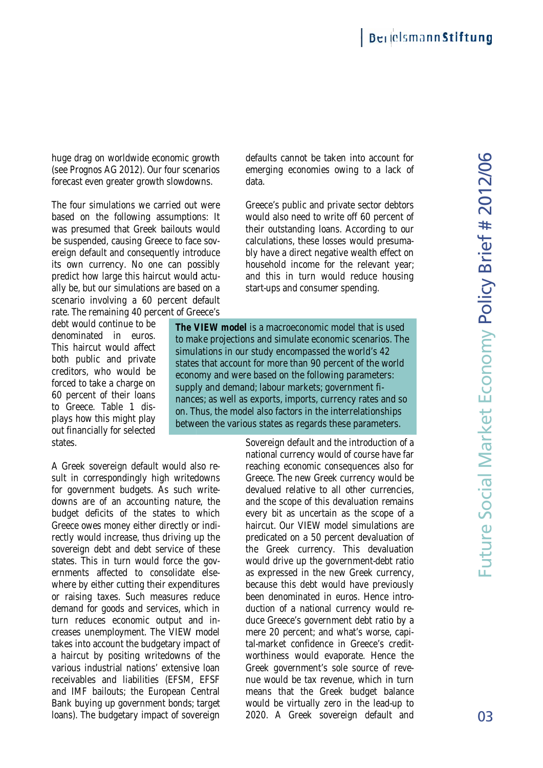huge drag on worldwide economic growth (see Prognos AG 2012). Our four scenarios forecast even greater growth slowdowns.

The four simulations we carried out were based on the following assumptions: It was presumed that Greek bailouts would be suspended, causing Greece to face sovereign default and consequently introduce its own currency. No one can possibly predict how large this haircut would actually be, but our simulations are based on a scenario involving a 60 percent default rate. The remaining 40 percent of Greece's huge drag on worldwide economic growth<br>(see Prognos AG 2012). Our four scenarios<br>forecast even greater growth slowdowns.<br>The four simulations we carried out were<br>based on the following assumptions: It<br>was presumed that Gre

debt would continue to be denominated in euros. This haircut would affect both public and private creditors, who would be forced to take a charge on 60 percent of their loans to Greece. Table 1 displays how this might play out financially for selected states.

A Greek sovereign default would also result in correspondingly high writedowns for government budgets. As such writedowns are of an accounting nature, the budget deficits of the states to which Greece owes money either directly or indirectly would increase, thus driving up the sovereign debt and debt service of these states. This in turn would force the governments affected to consolidate elsewhere by either cutting their expenditures or raising taxes. Such measures reduce demand for goods and services, which in turn reduces economic output and increases unemployment. The VIEW model takes into account the budgetary impact of a haircut by positing writedowns of the various industrial nations' extensive loan receivables and liabilities (EFSM, EFSF and IMF bailouts; the European Central Bank buying up government bonds; target loans). The budgetary impact of sovereign Forced to take a charge on<br>
60 percent of their loans<br>
to Greece. Table 1 dis-<br>
plays how this might play<br>
out financially for selected<br>
states.<br>
A Greek sovereign default would also re-<br>
sult in correspondingly high write

defaults cannot be taken into account for emerging economies owing to a lack of data.

Greece's public and private sector debtors would also need to write off 60 percent of their outstanding loans. According to our calculations, these losses would presumably have a direct negative wealth effect on household income for the relevant year; and this in turn would reduce housing start-ups and consumer spending.

**The VIEW model** is a macroeconomic model that is used to make projections and simulate economic scenarios. The simulations in our study encompassed the world's 42 states that account for more than 90 percent of the world economy and were based on the following parameters: supply and demand; labour markets; government finances; as well as exports, imports, currency rates and so on. Thus, the model also factors in the interrelationships between the various states as regards these parameters.

Sovereign default and the introduction of a national currency would of course have far reaching economic consequences also for Greece. The new Greek currency would be devalued relative to all other currencies, and the scope of this devaluation remains every bit as uncertain as the scope of a haircut. Our VIEW model simulations are predicated on a 50 percent devaluation of the Greek currency. This devaluation would drive up the government-debt ratio as expressed in the new Greek currency, because this debt would have previously been denominated in euros. Hence introduction of a national currency would reduce Greece's government debt ratio by a mere 20 percent; and what's worse, capital-market confidence in Greece's creditworthiness would evaporate. Hence the Greek government's sole source of revenue would be tax revenue, which in turn means that the Greek budget balance would be virtually zero in the lead-up to The VIEW model is a macroeconomic model that is used<br>to make projections and simulate economic scenarios. The<br>simulations in our study encompassed the world's 42<br>states that account for more than 90 percent of the world<br>ec by too the colliveiring assumptions: it would also need to write of 0 percent of the cording Greek bonds; ourlosses would pressume that Greek bonds; on another and percels over the effect of the signal of and this in turn re of an accounting nature, the and the scope of this devaluation remadeficits of the states to which every bit as uncertain as the scope could increase, thus driving up the predicated on a 50 percent devaluation debt and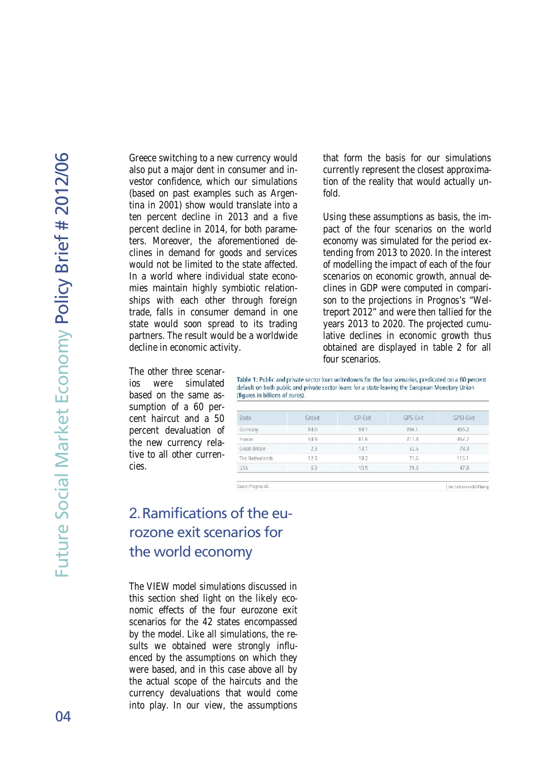Greece switching to a new currency would also put a major dent in consumer and investor confidence, which our simulations (based on past examples such as Argentina in 2001) show would translate into a ten percent decline in 2013 and a five percent decline in 2014, for both parameters. Moreover, the aforementioned declines in demand for goods and services would not be limited to the state affected. In a world where individual state economies maintain highly symbiotic relationships with each other through foreign trade, falls in consumer demand in one state would soon spread to its trading partners. The result would be a worldwide decline in economic activity.

that form the basis for our simulations currently represent the closest approximation of the reality that would actually unfold.

Using these assumptions as basis, the impact of the four scenarios on the world economy was simulated for the period extending from 2013 to 2020. In the interest of modelling the impact of each of the four scenarios on economic growth, annual declines in GDP were computed in comparison to the projections in Prognos's "Weltreport 2012" and were then tallied for the years 2013 to 2020. The projected cumulative declines in economic growth thus obtained are displayed in table 2 for all four scenarios.

BertelsmannStiftung

The other three scenarios were simulated based on the same assumption of a 60 percent haircut and a 50 percent devaluation of the new currency relative to all other currencies.

Table 1: Public and private sector loan writedowns for the four scenarios, predicated on a 60 percent default on both public and private sector loans for a state leaving the European Monetary Union (figures in billions of euros).

| State           | Grexit | GP-Exit | GPS-Exit | GPSI-Exit |
|-----------------|--------|---------|----------|-----------|
| Germany         | 64.0   | 99.1    | 266.1    | 455.2     |
| France          | 54.9   | 81.6    | 211.8    | 457.7     |
| Great Britain   | 23     | 13.1    | 52.5     | 78.3      |
| The Netherlands | 12.3   | 19.2    | 71.6     | 115.1     |
| USA             | 63     | 10.5    | 29.6     | 47.8      |

# 2.Ramifications of the eurozone exit scenarios for the world economy

Source: Prognos AG.

The VIEW model simulations discussed in this section shed light on the likely economic effects of the four eurozone exit scenarios for the 42 states encompassed by the model. Like all simulations, the results we obtained were strongly influenced by the assumptions on which they were based, and in this case above all by the actual scope of the haircuts and the currency devaluations that would come into play. In our view, the assumptions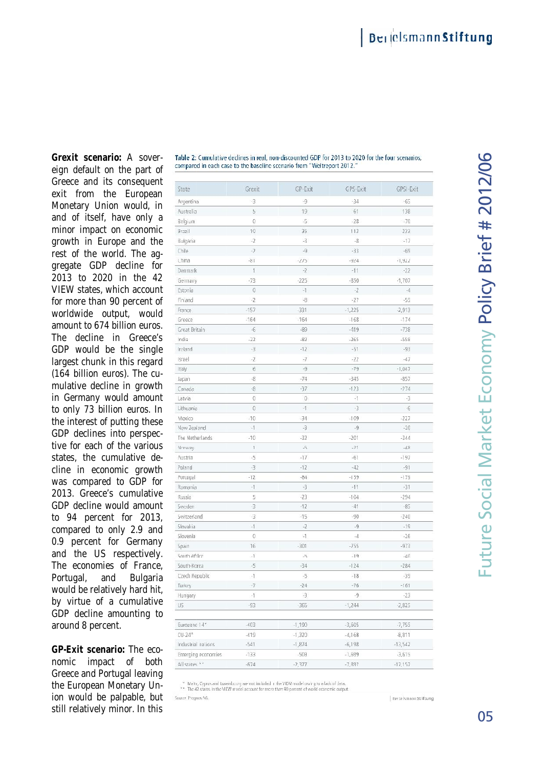Grexit scenario: A sovereign d efault on the part of Greece and its consequent exit from the Eur opean Monetary U nion would, in and of itself, have only a minor i mpact on economic growth in Europe and the rest of the world. The aggregate GDP decline for 2013 to 2020 in the 42 VIEW states, which account for more than 90 pe rcent of worldwide output, would worldwide euros. amount to 674 billion euros. The decline in Greece's GDP would be the single lar gest chunk in this regard (164 billion e uros). The cumulative decline in growth in Germany would amount to only 73 billion euros. In the i nterest of putting these i GDP declines into perspective for each of the various tive for each of the various<br>states, the cumulative decline in economic growth was compared to GDP for 2013. Greece's cum ulative GDP d ecline would amount to 94 percent for 2013, compared to only 2.9 and 0.9 percent for Germany and the US respe ctively. The economies of France, Portugal, and Bulgaria would be relatively hard hit, by virtue of a cumul ative GDP d ecline amoun ting to around 8 percent. eign default on the part of<br>Greece and its consequent<br>exit from the European<br>Monetary Union would, in<br>and of itself, have only a<br>minor impact on economic 2013 to 2020 in the 42<br>VIEW states, which account<br>for more than 90 percent of decline in Greece's<br>would be the single<br>t chunk in this regard<br>pillion euros). The cuin economic<br>compared to G<br>Greece's cum . compared to only 2.9 and<br>0.9 percent for Germany<br>and the US respectively.<br>The economies of France,<br>Portugal, and Bulgaria<br>would be relatively hard hit,<br>by virtue of a cumulative<br>GDP decline amounting to and<br>any<br>ely.<br>nce,<br>aria<br>hit,<br>tive<br>eco-<br>ooth<br>ving<br>Un-

**GP-Exit scenario: The eco**nomic impact of both Greece and Port ugal leaving the European Monetary Union would be palpable, but still relatively minor. In this

| State              | Grexit         | GP-Exit        | GPS-Exit  | GPSI-Exit |
|--------------------|----------------|----------------|-----------|-----------|
| Argentina          | $-3$           | -9             | $-34$     | $-65$     |
| Australia          | $\overline{5}$ | 19             | 61        | 138       |
| Belgium            | 0              | -5             | $-28$     | $-70$     |
| Brazil             | $-10$          | $-35$          | $-113$    | $-233$    |
| Bulgaria           | $-2$           | $-3$           | $-8$      | $-17$     |
| Chile              | $\rightarrow$  | $-9$           | $-33$     | $-69$     |
| China              | $-81$          | $-275$         | $-924$    | $-1,922$  |
| Denmark            | 1              | $-2$           | $-11$     | $-22$     |
| Germany            | $-73$          | $-225$         | $-850$    | $-1,707$  |
| Estonia            | $\overline{0}$ | $\cdot 1$      | $\cdot 2$ | $-4$      |
| Finland            | $-2$           | -8             | $-27$     | $-55$     |
| France             | $-157$         | $-331$         | $-1,225$  | $-2,913$  |
| Greece             | $-164$         | $-164$         | $-168$    | $-174$    |
| Great Britain      | $-6$           | $-89$          | $-419$    | $-738$    |
| India              | $-22$          | $-82$          | $-265$    | $-558$    |
| Ireland            | $-3$           | $-12$          | $-51$     | $-93$     |
| Israel             | $-2$           | $-7$           | $-22$     | $-47$     |
| Italy              | 6              | $-9$           | $-79$     | $-1,047$  |
| Japan              | $\cdot8$       | $-74$          | $-345$    | $-857$    |
| Canada             | $-8$           | $-37$          | $-123$    | $-274$    |
| Latvia             | Ü              | $\overline{0}$ | $-1$      | -3        |
| Lithuania          | 0              | $-1$           | -3        | $-6$      |
| Mexico             | $-10$          | $-34$          | $-109$    | $-227$    |
| New Zealand        | $-1$           | $-3$           | $-9$      | $-20$     |
| The Netherlands    | $-10$          | $-32$          | $-201$    | $-344$    |
| Nemway             | $\mathbf{f}$   | $\sqrt{2}$     | $-21$     | $-48$     |
| Austria            | $-5$           | $-17$          | $-61$     | $-197$    |
| Poland             | $-3$           | $-12$          | $-42$     | $-91$     |
| Portugal           | $-12$          | $-84$          | $-159$    | $-179$    |
| Romania            | $-1$           | $-3$           | $-11$     | $-31$     |
| Russia             | 5              | $-23$          | $-104$    | $-294$    |
| Sweden             | $-3$           | $-12$          | $-41$     | $-85$     |
| Switzerland        | -3             | $-15$          | $-90$     | $-240$    |
| Slovakia           | $-1$           | $\cdot 2$      | .9        | $-19$     |
| Slovenia           | 0              | 41             | $-4$      | $-26$     |
| Spain.             | 16             | $-301$         | $-755$    | $-973$    |
| South Africa       | $-1$           | $-5$           | $-19$     | $-40$     |
| South-Korea        | $-5$           | $-34$          | $-124$    | $-284$    |
| Czech Republic     | $-1$           | $-5$           | $-18$     | $-39$     |
| Turkey             | $-7$           | $-24$          | $-76$     | $-161$    |
| Hungary            | $-1$           | $-3$           | .9        | $-23$     |
| US                 | $-93$          | $-365$         | $-1,244$  | $-2,825$  |
|                    |                |                |           |           |
| Eurozone 14*       | $-403$         | $-1,190.$      | $-3,605$  | $-7,755$  |
| $LU-24*$           | $-419$         | $-1,320$       | $-4,168$  | $-8,811$  |
| Industrial nations | $-541$         | $-1,874$       | $-6,198$  | $-13,542$ |
| Emerging economies | $-133$         | $-503$         | $-1,699$  | $-3,615$  |
| All states **      | $-674$         | $-2.377$       | $-7.897$  | $-17.157$ |

Table 2: Cumulative declines in real, non-discounted GDP for 2013 to 2020 for the four scenarios,

Maha, Cyprus and Luxembourg are not included in the VIEW model owing to a lack of data.<br>\*\* The 42 states in the VIEW model account for more than 90 percent of world economic output

Source Prognos AG.

**Berrelsmann Stiftung**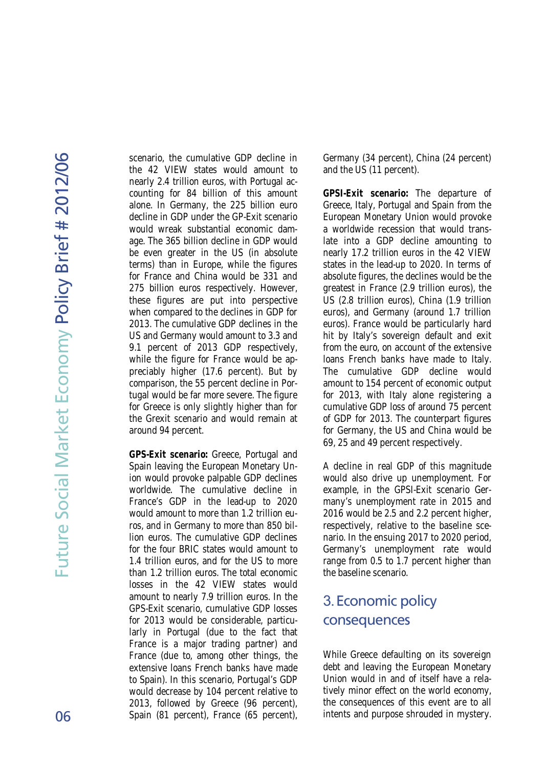6

scenario, the cumulative GDP decline in the 42 VIEW states would amount to nearly 2.4 trillion euros, with Portugal accounting for 84 billion of this amount alone. In Germany, the 225 billion euro decline in GDP under the GP-Exit scenario would wreak substantial economic damage. The 365 billion decline in GDP would be even greater in the US (in absolute terms) than in Europe, while the figures for France and China would be 331 and 275 billion euros respectively. However, these figures are put into perspective when compared to the declines in GDP for 2013. The cumulative GDP declines in the US and Germany would amount to 3.3 and 9.1 percent of 2013 GDP respectively, while the figure for France would be appreciably higher (17.6 percent). But by comparison, the 55 percent decline in Portugal would be far more severe. The figure for Greece is only slightly higher than for the Grexit scenario and would remain at around 94 percent.

**GPS-Exit scenario:** Greece, Portugal and Spain leaving the European Monetary Union would provoke palpable GDP declines worldwide. The cumulative decline in France's GDP in the lead-up to 2020 would amount to more than 1.2 trillion euros, and in Germany to more than 850 billion euros. The cumulative GDP declines for the four BRIC states would amount to 1.4 trillion euros, and for the US to more than 1.2 trillion euros. The total economic losses in the 42 VIEW states would amount to nearly 7.9 trillion euros. In the GPS-Exit scenario, cumulative GDP losses for 2013 would be considerable, particularly in Portugal (due to the fact that France is a major trading partner) and France (due to, among other things, the extensive loans French banks have made to Spain). In this scenario, Portugal's GDP would decrease by 104 percent relative to 2013, followed by Greece (96 percent), Spain (81 percent), France (65 percent), Germany (34 percent), China (24 percent) and the US (11 percent).

**GPSI-Exit scenario:** The departure of Greece, Italy, Portugal and Spain from the European Monetary Union would provoke a worldwide recession that would translate into a GDP decline amounting to nearly 17.2 trillion euros in the 42 VIEW states in the lead-up to 2020. In terms of absolute figures, the declines would be the greatest in France (2.9 trillion euros), the US (2.8 trillion euros), China (1.9 trillion euros), and Germany (around 1.7 trillion euros). France would be particularly hard hit by Italy's sovereign default and exit from the euro, on account of the extensive loans French banks have made to Italy. The cumulative GDP decline would amount to 154 percent of economic output for 2013, with Italy alone registering a cumulative GDP loss of around 75 percent of GDP for 2013. The counterpart figures for Germany, the US and China would be 69, 25 and 49 percent respectively.

A decline in real GDP of this magnitude would also drive up unemployment. For example, in the GPSI-Exit scenario Germany's unemployment rate in 2015 and 2016 would be 2.5 and 2.2 percent higher, respectively, relative to the baseline scenario. In the ensuing 2017 to 2020 period, Germany's unemployment rate would range from 0.5 to 1.7 percent higher than the baseline scenario.

### 3.Economic policy consequences

While Greece defaulting on its sovereign debt and leaving the European Monetary Union would in and of itself have a relatively minor effect on the world economy, the consequences of this event are to all intents and purpose shrouded in mystery.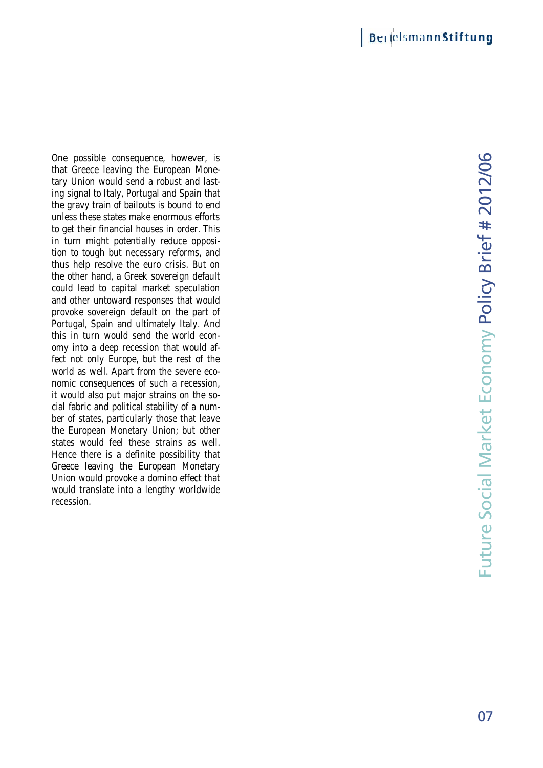One possible consequence, however, is that Greece leaving the European Monetary Union would send a robust and lasting signal to Italy, Portugal and Spain that the gravy train of bailouts is bound to end unless these states make enormous efforts to get their financial houses in order. This in turn might potentially reduce opposition to tough but necessary reforms, and thus help resolve the euro crisis. But on the other hand, a Greek sovereign default could lead to capital market speculation and other untoward responses that would provoke sovereign default on the part of Portugal, Spain and ultimately Italy. And this in turn would send the world economy into a deep recession that would affect not only Europe, but the rest of the world as well. Apart from the severe economic consequences of such a recession, it would also put major strains on the social fabric and political stability of a number of states, particularly those that leave the European Monetary Union; but other states would feel these strains as well. Hence there is a definite possibility that Greece leaving the European Monetary Union would provoke a domino effect that would translate into a lengthy worldwide recession. that Greece leaving the European Mone-<br>tary Union would send a robust and last-<br>ing signal to Italy, Portugal and Spain that<br>the gravy train of bailouts is bound to end<br>unless these states make enormous efforts<br>to get thei could lead to capital market speculation<br>and other untoward responses that would<br>provoke sovereign default on the part of<br>Portugal, Spain and ultimately Italy. And<br>this in turn would send the world econ-<br>omy into a deep re